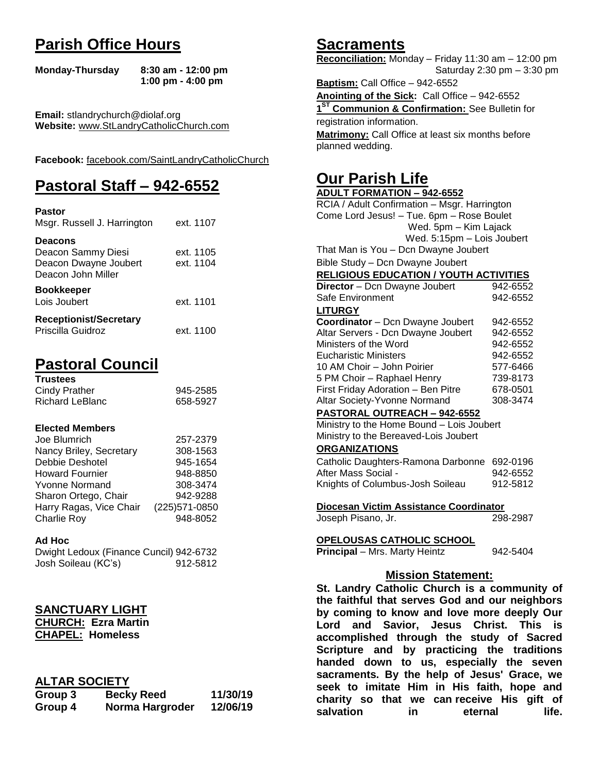# **Parish Office Hours**

```
Monday-Thursday 8:30 am - 12:00 pm
       1:00 pm - 4:00 pm
```
**Email:** stlandrychurch@diolaf.org **Website:** [www.StLandryCatholicChurch.com](http://www.stlandrycatholicchurch.com/)

**Facebook:** [facebook.com/SaintLandryCatholicChurch](http://facebook.com/SaintLandryCatholicChurch)

# **Pastoral Staff – 942-6552**

| <b>Pastor</b><br>Msgr. Russell J. Harrington                                        | ext. 1107              |
|-------------------------------------------------------------------------------------|------------------------|
| <b>Deacons</b><br>Deacon Sammy Diesi<br>Deacon Dwayne Joubert<br>Deacon John Miller | ext. 1105<br>ext. 1104 |
| <b>Bookkeeper</b><br>Lois Joubert                                                   | ext. 1101              |
| <b>Receptionist/Secretary</b><br>Priscilla Guidroz                                  | ext. 1100              |

# **Pastoral Council**

| <b>Trustees</b> |          |
|-----------------|----------|
| Cindy Prather   | 945-2585 |
| Richard LeBlanc | 658-5927 |

### **Elected Members**

| 257-2379       |
|----------------|
| 308-1563       |
| 945-1654       |
| 948-8850       |
| 308-3474       |
| 942-9288       |
| (225) 571-0850 |
| 948-8052       |
|                |

#### **Ad Hoc**

| Dwight Ledoux (Finance Cuncil) 942-6732 |          |
|-----------------------------------------|----------|
| Josh Soileau (KC's)                     | 912-5812 |

## **SANCTUARY LIGHT**

**CHURCH: Ezra Martin CHAPEL: Homeless**

## **ALTAR SOCIETY**

| Group 3 | <b>Becky Reed</b> | 11/30/19 |
|---------|-------------------|----------|
| Group 4 | Norma Hargroder   | 12/06/19 |

## **Sacraments**

**Reconciliation:** Monday – Friday 11:30 am – 12:00 pm Saturday 2:30 pm – 3:30 pm

**Baptism:** Call Office – 942-6552 **Anointing of the Sick:** Call Office – 942-6552 **1 ST Communion & Confirmation:** See Bulletin for registration information. **Matrimony:** Call Office at least six months before planned wedding.

## **Our Parish Life**

| RCIA / Adult Confirmation - Msgr. Harrington   |          |  |
|------------------------------------------------|----------|--|
| Come Lord Jesus! - Tue. 6pm - Rose Boulet      |          |  |
| Wed. 5pm - Kim Lajack                          |          |  |
| Wed. 5:15pm - Lois Joubert                     |          |  |
| That Man is You - Dcn Dwayne Joubert           |          |  |
| Bible Study - Dcn Dwayne Joubert               |          |  |
| <b>RELIGIOUS EDUCATION / YOUTH ACTIVITIES</b>  |          |  |
| Director - Dcn Dwayne Joubert                  | 942-6552 |  |
| Safe Environment                               | 942-6552 |  |
| <b>LITURGY</b>                                 |          |  |
| Coordinator - Dcn Dwayne Joubert               | 942-6552 |  |
| Altar Servers - Dcn Dwayne Joubert             | 942-6552 |  |
| Ministers of the Word                          | 942-6552 |  |
| <b>Eucharistic Ministers</b>                   | 942-6552 |  |
| 10 AM Choir - John Poirier                     | 577-6466 |  |
| 5 PM Choir - Raphael Henry                     | 739-8173 |  |
| First Friday Adoration - Ben Pitre             | 678-0501 |  |
| Altar Society-Yvonne Normand                   | 308-3474 |  |
| PASTORAL OUTREACH - 942-6552                   |          |  |
| Ministry to the Home Bound - Lois Joubert      |          |  |
| Ministry to the Bereaved-Lois Joubert          |          |  |
| <b>ORGANIZATIONS</b>                           |          |  |
| Catholic Daughters-Ramona Darbonne             | 692-0196 |  |
| After Mass Social -                            | 942-6552 |  |
| Knights of Columbus-Josh Soileau               | 912-5812 |  |
| Diocesan Victim Assistance Coordinator         |          |  |
| Joseph Pisano, Jr.                             | 298-2987 |  |
| <b>OPELOUSAS CATHOLIC SCHOOL</b>               |          |  |
| <b>Principal</b> - Mrs. Marty Heintz           | 942-5404 |  |
| <b>Mission Statement:</b>                      |          |  |
| St. Landry Catholic Church is a community of   |          |  |
| the faithful that serves God and our neighbors |          |  |
| by coming to know and love more deeply Our     |          |  |
| Lord and Savior, Jesus Christ. This is         |          |  |
| accomplished through the study of Sacred       |          |  |
| Scripture and by practicing the traditions     |          |  |
| handed down to us, especially the seven        |          |  |
| sacraments. By the help of Jesus' Grace, we    |          |  |
|                                                |          |  |
| seek to imitate Him in His faith, hope and     |          |  |

**salvation** in eternal life.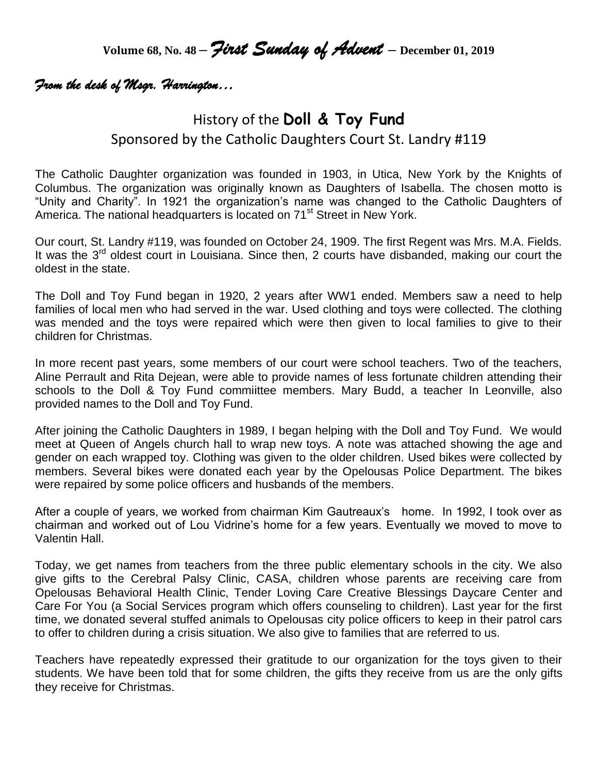**Volume 68, No. 48 –** *First Sunday of Advent* **– December 01, <sup>2019</sup>**

## *From the desk of Msgr. Harrington…*

# History of the **Doll & Toy Fund** Sponsored by the Catholic Daughters Court St. Landry #119

The Catholic Daughter organization was founded in 1903, in Utica, New York by the Knights of Columbus. The organization was originally known as Daughters of Isabella. The chosen motto is "Unity and Charity". In 1921 the organization's name was changed to the Catholic Daughters of America. The national headquarters is located on 71<sup>st</sup> Street in New York.

Our court, St. Landry #119, was founded on October 24, 1909. The first Regent was Mrs. M.A. Fields. It was the 3<sup>rd</sup> oldest court in Louisiana. Since then, 2 courts have disbanded, making our court the oldest in the state.

The Doll and Toy Fund began in 1920, 2 years after WW1 ended. Members saw a need to help families of local men who had served in the war. Used clothing and toys were collected. The clothing was mended and the toys were repaired which were then given to local families to give to their children for Christmas.

In more recent past years, some members of our court were school teachers. Two of the teachers, Aline Perrault and Rita Dejean, were able to provide names of less fortunate children attending their schools to the Doll & Toy Fund commiittee members. Mary Budd, a teacher In Leonville, also provided names to the Doll and Toy Fund.

After joining the Catholic Daughters in 1989, I began helping with the Doll and Toy Fund. We would meet at Queen of Angels church hall to wrap new toys. A note was attached showing the age and gender on each wrapped toy. Clothing was given to the older children. Used bikes were collected by members. Several bikes were donated each year by the Opelousas Police Department. The bikes were repaired by some police officers and husbands of the members.

After a couple of years, we worked from chairman Kim Gautreaux's home. In 1992, I took over as chairman and worked out of Lou Vidrine's home for a few years. Eventually we moved to move to Valentin Hall.

Today, we get names from teachers from the three public elementary schools in the city. We also give gifts to the Cerebral Palsy Clinic, CASA, children whose parents are receiving care from Opelousas Behavioral Health Clinic, Tender Loving Care Creative Blessings Daycare Center and Care For You (a Social Services program which offers counseling to children). Last year for the first time, we donated several stuffed animals to Opelousas city police officers to keep in their patrol cars to offer to children during a crisis situation. We also give to families that are referred to us.

Teachers have repeatedly expressed their gratitude to our organization for the toys given to their students. We have been told that for some children, the gifts they receive from us are the only gifts they receive for Christmas.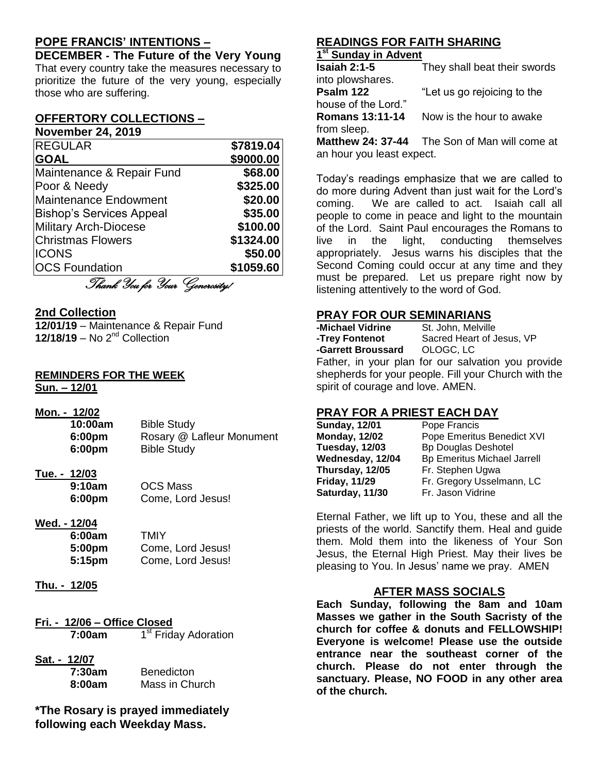## **POPE FRANCIS' INTENTIONS –**

**DECEMBER - The Future of the Very Young** That every country take the measures necessary to prioritize the future of the very young, especially those who are suffering.

#### **OFFERTORY COLLECTIONS – November 24, 2019**

| <b>REGULAR</b>                  | \$7819.04 |
|---------------------------------|-----------|
|                                 |           |
| <b>GOAL</b>                     | \$9000.00 |
| Maintenance & Repair Fund       | \$68.00   |
| Poor & Needy                    | \$325.00  |
| <b>Maintenance Endowment</b>    | \$20.00   |
| <b>Bishop's Services Appeal</b> | \$35.00   |
| <b>Military Arch-Diocese</b>    | \$100.00  |
| <b>Christmas Flowers</b>        | \$1324.00 |
| <b>ICONS</b>                    | \$50.00   |
| <b>OCS Foundation</b>           | \$1059.60 |
| p Q                             |           |

Thank You for Your Generosity!

### **2nd Collection**

**12/01/19** – Maintenance & Repair Fund **12/18/19** – No 2nd Collection

## **REMINDERS FOR THE WEEK**

**Sun. – 12/01**

**Mon. - 12/02**

| MON. - 12/02       |                           |
|--------------------|---------------------------|
| 10:00am            | <b>Bible Study</b>        |
| 6:00 <sub>pm</sub> | Rosary @ Lafleur Monument |
| 6:00 <sub>pm</sub> | <b>Bible Study</b>        |
|                    |                           |

## **Tue. - 12/03**

| 9:10am | <b>OCS Mass</b>   |
|--------|-------------------|
| 6:00pm | Come, Lord Jesus! |

### **Wed. - 12/04**

| 6:00am             | TMIY              |
|--------------------|-------------------|
| 5:00 <sub>pm</sub> | Come, Lord Jesus! |
| 5:15pm             | Come, Lord Jesus! |

- **Thu. - 12/05**
- **Fri. - 12/06 – Office Closed 7:00am** 1 1<sup>st</sup> Friday Adoration
- **Sat. - 12/07 7:30am**

| . <i>. .</i> . |                   |
|----------------|-------------------|
| 7:30am         | <b>Benedicton</b> |
| 8:00am         | Mass in Church    |

**\*The Rosary is prayed immediately following each Weekday Mass.**

## **READINGS FOR FAITH SHARING**

### **1 st Sunday in Advent**

| <b>Isaiah 2:1-5</b>    | They shall beat their swords |
|------------------------|------------------------------|
| into plowshares.       |                              |
| Psalm 122              | "Let us go rejoicing to the  |
| house of the Lord."    |                              |
| <b>Romans 13:11-14</b> | Now is the hour to awake     |
| from sleep.            |                              |
|                        |                              |

**Matthew 24: 37-44** The Son of Man will come at an hour you least expect.

Today's readings emphasize that we are called to do more during Advent than just wait for the Lord's coming. We are called to act. Isaiah call all people to come in peace and light to the mountain of the Lord. Saint Paul encourages the Romans to live in the light, conducting themselves appropriately. Jesus warns his disciples that the Second Coming could occur at any time and they must be prepared. Let us prepare right now by listening attentively to the word of God.

### **PRAY FOR OUR SEMINARIANS**

| -Michael Vidrine                                     | St. John, Melville                                 |
|------------------------------------------------------|----------------------------------------------------|
| -Trey Fontenot                                       | Sacred Heart of Jesus, VP                          |
| -Garrett Broussard OLOGC, LC                         |                                                    |
|                                                      | Father, in your plan for our salvation you provide |
| shepherds for your people. Fill your Church with the |                                                    |
| spirit of courage and love. AMEN.                    |                                                    |

## **PRAY FOR A PRIEST EACH DAY**

| <b>Sunday, 12/01</b> | Pope Francis                       |
|----------------------|------------------------------------|
| <b>Monday, 12/02</b> | Pope Emeritus Benedict XVI         |
| Tuesday, 12/03       | <b>Bp Douglas Deshotel</b>         |
| Wednesday, 12/04     | <b>Bp Emeritus Michael Jarrell</b> |
| Thursday, 12/05      | Fr. Stephen Ugwa                   |
| <b>Friday, 11/29</b> | Fr. Gregory Usselmann, LC          |
| Saturday, 11/30      | Fr. Jason Vidrine                  |
|                      |                                    |

Eternal Father, we lift up to You, these and all the priests of the world. Sanctify them. Heal and guide them. Mold them into the likeness of Your Son Jesus, the Eternal High Priest. May their lives be pleasing to You. In Jesus' name we pray. AMEN

### **AFTER MASS SOCIALS**

**Each Sunday, following the 8am and 10am Masses we gather in the South Sacristy of the church for coffee & donuts and FELLOWSHIP! Everyone is welcome! Please use the outside entrance near the southeast corner of the church. Please do not enter through the sanctuary. Please, NO FOOD in any other area of the church.**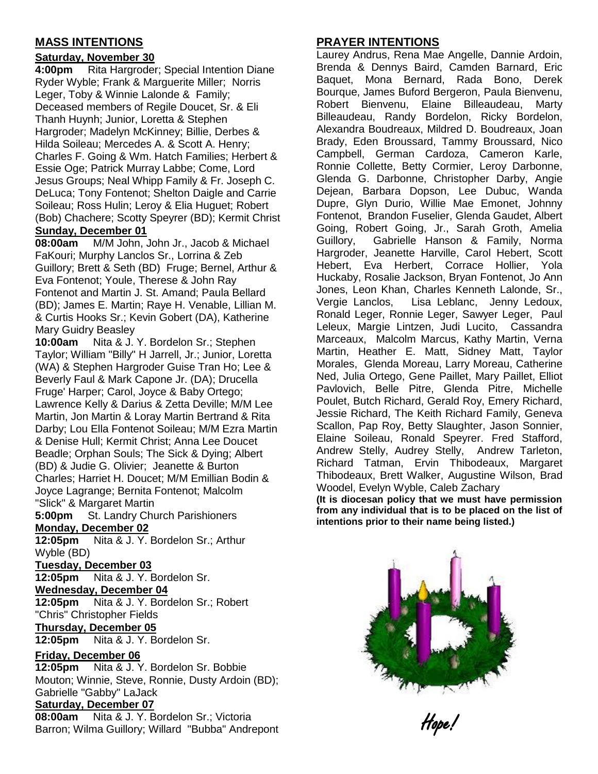## **MASS INTENTIONS**

### **Saturday, November 30**

**4:00pm** Rita Hargroder; Special Intention Diane Ryder Wyble; Frank & Marguerite Miller; Norris Leger, Toby & Winnie Lalonde & Family; Deceased members of Regile Doucet, Sr. & Eli Thanh Huynh; Junior, Loretta & Stephen Hargroder; Madelyn McKinney; Billie, Derbes & Hilda Soileau; Mercedes A. & Scott A. Henry; Charles F. Going & Wm. Hatch Families; Herbert & Essie Oge; Patrick Murray Labbe; Come, Lord Jesus Groups; Neal Whipp Family & Fr. Joseph C. DeLuca; Tony Fontenot; Shelton Daigle and Carrie Soileau; Ross Hulin; Leroy & Elia Huguet; Robert (Bob) Chachere; Scotty Speyrer (BD); Kermit Christ **Sunday, December 01**

**08:00am** M/M John, John Jr., Jacob & Michael FaKouri; Murphy Lanclos Sr., Lorrina & Zeb Guillory; Brett & Seth (BD) Fruge; Bernel, Arthur & Eva Fontenot; Youle, Therese & John Ray Fontenot and Martin J. St. Amand; Paula Bellard (BD); James E. Martin; Raye H. Venable, Lillian M. & Curtis Hooks Sr.; Kevin Gobert (DA), Katherine Mary Guidry Beasley

**10:00am** Nita & J. Y. Bordelon Sr.; Stephen Taylor; William "Billy" H Jarrell, Jr.; Junior, Loretta (WA) & Stephen Hargroder Guise Tran Ho; Lee & Beverly Faul & Mark Capone Jr. (DA); Drucella Fruge' Harper; Carol, Joyce & Baby Ortego; Lawrence Kelly & Darius & Zetta Deville; M/M Lee Martin, Jon Martin & Loray Martin Bertrand & Rita Darby; Lou Ella Fontenot Soileau; M/M Ezra Martin & Denise Hull; Kermit Christ; Anna Lee Doucet Beadle; Orphan Souls; The Sick & Dying; Albert (BD) & Judie G. Olivier; Jeanette & Burton Charles; Harriet H. Doucet; M/M Emillian Bodin & Joyce Lagrange; Bernita Fontenot; Malcolm "Slick" & Margaret Martin

**5:00pm** St. Landry Church Parishioners

## **Monday, December 02**

**12:05pm** Nita & J. Y. Bordelon Sr.; Arthur Wyble (BD)

#### **Tuesday, December 03**

**12:05pm** Nita & J. Y. Bordelon Sr.

#### **Wednesday, December 04**

**12:05pm** Nita & J. Y. Bordelon Sr.; Robert "Chris" Christopher Fields

### **Thursday, December 05**

**12:05pm** Nita & J. Y. Bordelon Sr.

### **Friday, December 06**

**12:05pm** Nita & J. Y. Bordelon Sr. Bobbie Mouton; Winnie, Steve, Ronnie, Dusty Ardoin (BD); Gabrielle "Gabby" LaJack

#### **Saturday, December 07**

**08:00am** Nita & J. Y. Bordelon Sr.; Victoria Barron; Wilma Guillory; Willard "Bubba" Andrepont

## **PRAYER INTENTIONS**

Laurey Andrus, Rena Mae Angelle, Dannie Ardoin, Brenda & Dennys Baird, Camden Barnard, Eric Baquet, Mona Bernard, Rada Bono, Derek Bourque, James Buford Bergeron, Paula Bienvenu, Robert Bienvenu, Elaine Billeaudeau, Marty Billeaudeau, Randy Bordelon, Ricky Bordelon, Alexandra Boudreaux, Mildred D. Boudreaux, Joan Brady, Eden Broussard, Tammy Broussard, Nico Campbell, German Cardoza, Cameron Karle, Ronnie Collette, Betty Cormier, Leroy Darbonne, Glenda G. Darbonne, Christopher Darby, Angie Dejean, Barbara Dopson, Lee Dubuc, Wanda Dupre, Glyn Durio, Willie Mae Emonet, Johnny Fontenot, Brandon Fuselier, Glenda Gaudet, Albert Going, Robert Going, Jr., Sarah Groth, Amelia Guillory, Gabrielle Hanson & Family, Norma Hargroder, Jeanette Harville, Carol Hebert, Scott Hebert, Eva Herbert, Corrace Hollier, Yola Huckaby, Rosalie Jackson, Bryan Fontenot, Jo Ann Jones, Leon Khan, Charles Kenneth Lalonde, Sr., Vergie Lanclos, Lisa Leblanc, Jenny Ledoux, Ronald Leger, Ronnie Leger, Sawyer Leger, Paul Leleux, Margie Lintzen, Judi Lucito, Cassandra Marceaux, Malcolm Marcus, Kathy Martin, Verna Martin, Heather E. Matt, Sidney Matt, Taylor Morales, Glenda Moreau, Larry Moreau, Catherine Ned, Julia Ortego, Gene Paillet, Mary Paillet, Elliot Pavlovich, Belle Pitre, Glenda Pitre, Michelle Poulet, Butch Richard, Gerald Roy, Emery Richard, Jessie Richard, The Keith Richard Family, Geneva Scallon, Pap Roy, Betty Slaughter, Jason Sonnier, Elaine Soileau, Ronald Speyrer. Fred Stafford, Andrew Stelly, Audrey Stelly, Andrew Tarleton, Richard Tatman, Ervin Thibodeaux, Margaret Thibodeaux, Brett Walker, Augustine Wilson, Brad Woodel, Evelyn Wyble, Caleb Zachary

**(It is diocesan policy that we must have permission from any individual that is to be placed on the list of intentions prior to their name being listed.)**



Hope!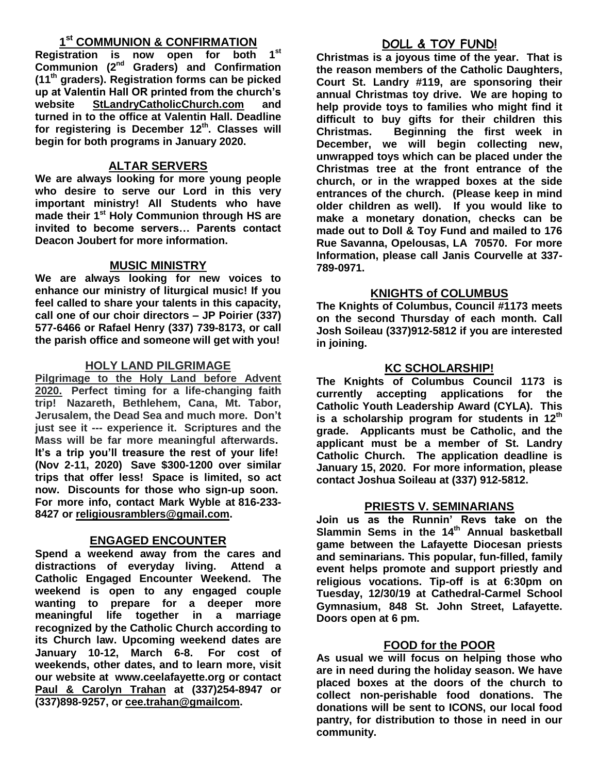## **1 st COMMUNION & CONFIRMATION**

**Registration is now open for both 1st Communion (2nd Graders) and Confirmation (11th graders). Registration forms can be picked up at Valentin Hall OR printed from the church's website StLandryCatholicChurch.com and turned in to the office at Valentin Hall. Deadline for registering is December 12th. Classes will begin for both programs in January 2020.**

## **ALTAR SERVERS**

**We are always looking for more young people who desire to serve our Lord in this very important ministry! All Students who have made their 1st Holy Communion through HS are invited to become servers… Parents contact Deacon Joubert for more information.**

## **MUSIC MINISTRY**

**We are always looking for new voices to enhance our ministry of liturgical music! If you feel called to share your talents in this capacity, call one of our choir directors – JP Poirier (337) 577-6466 or Rafael Henry (337) 739-8173, or call the parish office and someone will get with you!**

## **HOLY LAND PILGRIMAGE**

**Pilgrimage to the Holy Land before Advent 2020. Perfect timing for a life-changing faith trip! Nazareth, Bethlehem, Cana, Mt. Tabor, Jerusalem, the Dead Sea and much more. Don't just see it --- experience it. Scriptures and the Mass will be far more meaningful afterwards. It's a trip you'll treasure the rest of your life! (Nov 2-11, 2020) Save \$300-1200 over similar trips that offer less! Space is limited, so act now. Discounts for those who sign-up soon. For more info, contact Mark Wyble at 816-233- 8427 or [religiousramblers@gmail.com.](mailto:religiousramblers@gmail.com)**

## **ENGAGED ENCOUNTER**

**Spend a weekend away from the cares and distractions of everyday living. Attend a Catholic Engaged Encounter Weekend. The weekend is open to any engaged couple wanting to prepare for a deeper more meaningful life together in a marriage recognized by the Catholic Church according to its Church law. Upcoming weekend dates are January 10-12, March 6-8. For cost of weekends, other dates, and to learn more, visit our website at www.ceelafayette.org or contact Paul & Carolyn Trahan at (337)254-8947 or (337)898-9257, or [cee.trahan@gmailcom.](mailto:cee.trahan@gmailcom)**

## **DOLL & TOY FUND!**

**Christmas is a joyous time of the year. That is the reason members of the Catholic Daughters, Court St. Landry #119, are sponsoring their annual Christmas toy drive. We are hoping to help provide toys to families who might find it difficult to buy gifts for their children this Christmas. Beginning the first week in December, we will begin collecting new, unwrapped toys which can be placed under the Christmas tree at the front entrance of the church, or in the wrapped boxes at the side entrances of the church. (Please keep in mind older children as well). If you would like to make a monetary donation, checks can be made out to Doll & Toy Fund and mailed to 176 Rue Savanna, Opelousas, LA 70570. For more Information, please call Janis Courvelle at 337- 789-0971.** 

## **KNIGHTS of COLUMBUS**

**The Knights of Columbus, Council #1173 meets on the second Thursday of each month. Call Josh Soileau (337)912-5812 if you are interested in joining.** 

## **KC SCHOLARSHIP!**

**The Knights of Columbus Council 1173 is currently accepting applications for the Catholic Youth Leadership Award (CYLA). This is a scholarship program for students in 12th grade. Applicants must be Catholic, and the applicant must be a member of St. Landry Catholic Church. The application deadline is January 15, 2020. For more information, please contact Joshua Soileau at (337) 912-5812.**

## **PRIESTS V. SEMINARIANS**

**Join us as the Runnin' Revs take on the Slammin Sems in the 14 th Annual basketball game between the Lafayette Diocesan priests and seminarians. This popular, fun-filled, family event helps promote and support priestly and religious vocations. Tip-off is at 6:30pm on Tuesday, 12/30/19 at Cathedral-Carmel School Gymnasium, 848 St. John Street, Lafayette. Doors open at 6 pm.** 

## **FOOD for the POOR**

**As usual we will focus on helping those who are in need during the holiday season. We have placed boxes at the doors of the church to collect non-perishable food donations. The donations will be sent to ICONS, our local food pantry, for distribution to those in need in our community.**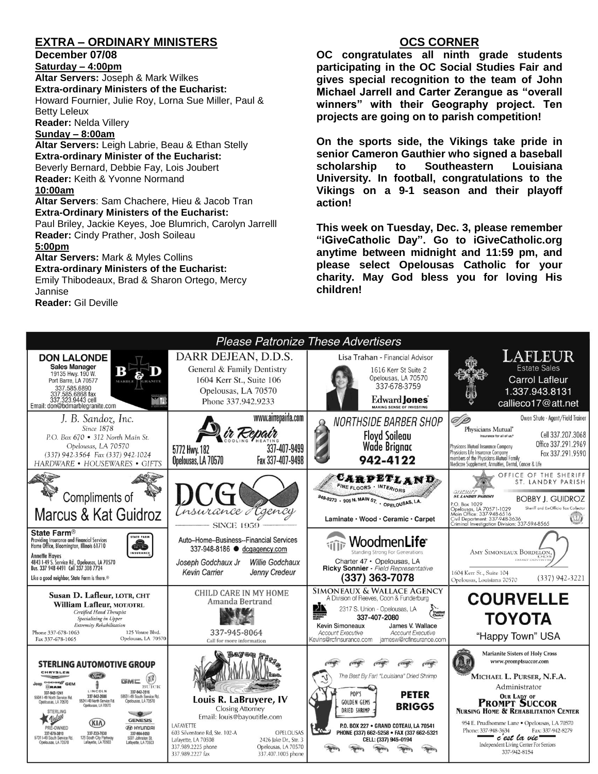## **EXTRA – ORDINARY MINISTERS**

**December 07/08**

**Saturday – 4:00pm** 

**Altar Servers:** Joseph & Mark Wilkes **Extra-ordinary Ministers of the Eucharist:**  Howard Fournier, Julie Roy, Lorna Sue Miller, Paul & Betty Leleux

**Reader:** Nelda Villery

### **Sunday – 8:00am**

**Altar Servers:** Leigh Labrie, Beau & Ethan Stelly **Extra-ordinary Minister of the Eucharist:** Beverly Bernard, Debbie Fay, Lois Joubert **Reader:** Keith & Yvonne Normand **10:00am**

**Altar Servers**: Sam Chachere, Hieu & Jacob Tran **Extra-Ordinary Ministers of the Eucharist:** Paul Briley, Jackie Keyes, Joe Blumrich, Carolyn Jarrelll

**Reader:** Cindy Prather, Josh Soileau

#### **5:00pm**

**Altar Servers:** Mark & Myles Collins **Extra-ordinary Ministers of the Eucharist:** Emily Thibodeaux, Brad & Sharon Ortego, Mercy Jannise

**Reader:** Gil Deville

## **OCS CORNER**

**OC congratulates all ninth grade students participating in the OC Social Studies Fair and gives special recognition to the team of John Michael Jarrell and Carter Zerangue as "overall winners" with their Geography project. Ten projects are going on to parish competition!**

**On the sports side, the Vikings take pride in senior Cameron Gauthier who signed a baseball scholarship to Southeastern Louisiana University. In football, congratulations to the Vikings on a 9-1 season and their playoff action!**

**This week on Tuesday, Dec. 3, please remember "iGiveCatholic Day". Go to iGiveCatholic.org anytime between midnight and 11:59 pm, and please select Opelousas Catholic for your charity. May God bless you for loving His children!**